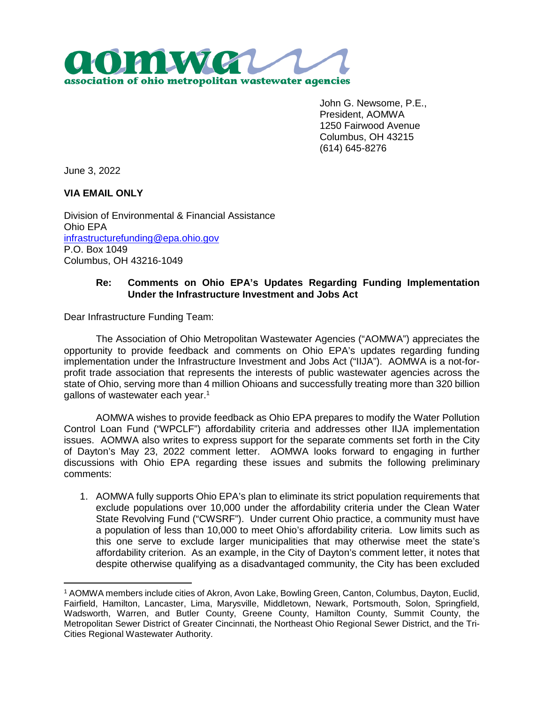

John G. Newsome, P.E., President, AOMWA 1250 Fairwood Avenue Columbus, OH 43215 (614) 645-8276

June 3, 2022

 $\overline{a}$ 

**VIA EMAIL ONLY**

Division of Environmental & Financial Assistance Ohio EPA [infrastructurefunding@epa.ohio.gov](mailto:infrastructurefunding@epa.ohio.gov)  P.O. Box 1049 Columbus, OH 43216-1049

## **Re: Comments on Ohio EPA's Updates Regarding Funding Implementation Under the Infrastructure Investment and Jobs Act**

Dear Infrastructure Funding Team:

The Association of Ohio Metropolitan Wastewater Agencies ("AOMWA") appreciates the opportunity to provide feedback and comments on Ohio EPA's updates regarding funding implementation under the Infrastructure Investment and Jobs Act ("IIJA"). AOMWA is a not-forprofit trade association that represents the interests of public wastewater agencies across the state of Ohio, serving more than 4 million Ohioans and successfully treating more than 320 billion gallons of wastewater each year.<sup>1</sup>

AOMWA wishes to provide feedback as Ohio EPA prepares to modify the Water Pollution Control Loan Fund ("WPCLF") affordability criteria and addresses other IIJA implementation issues. AOMWA also writes to express support for the separate comments set forth in the City of Dayton's May 23, 2022 comment letter. AOMWA looks forward to engaging in further discussions with Ohio EPA regarding these issues and submits the following preliminary comments:

1. AOMWA fully supports Ohio EPA's plan to eliminate its strict population requirements that exclude populations over 10,000 under the affordability criteria under the Clean Water State Revolving Fund ("CWSRF"). Under current Ohio practice, a community must have a population of less than 10,000 to meet Ohio's affordability criteria. Low limits such as this one serve to exclude larger municipalities that may otherwise meet the state's affordability criterion. As an example, in the City of Dayton's comment letter, it notes that despite otherwise qualifying as a disadvantaged community, the City has been excluded

<sup>1</sup> AOMWA members include cities of Akron, Avon Lake, Bowling Green, Canton, Columbus, Dayton, Euclid, Fairfield, Hamilton, Lancaster, Lima, Marysville, Middletown, Newark, Portsmouth, Solon, Springfield, Wadsworth, Warren, and Butler County, Greene County, Hamilton County, Summit County, the Metropolitan Sewer District of Greater Cincinnati, the Northeast Ohio Regional Sewer District, and the Tri-Cities Regional Wastewater Authority.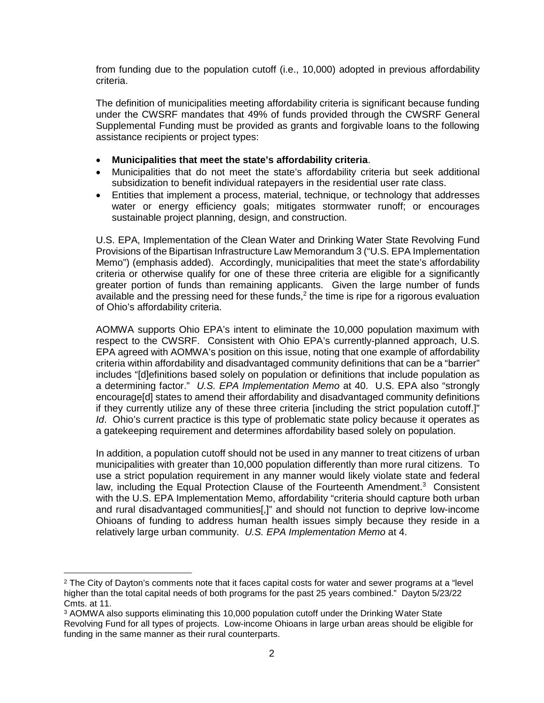from funding due to the population cutoff (i.e., 10,000) adopted in previous affordability criteria.

The definition of municipalities meeting affordability criteria is significant because funding under the CWSRF mandates that 49% of funds provided through the CWSRF General Supplemental Funding must be provided as grants and forgivable loans to the following assistance recipients or project types:

- **Municipalities that meet the state's affordability criteria**.
- Municipalities that do not meet the state's affordability criteria but seek additional subsidization to benefit individual ratepayers in the residential user rate class.
- Entities that implement a process, material, technique, or technology that addresses water or energy efficiency goals; mitigates stormwater runoff; or encourages sustainable project planning, design, and construction.

U.S. EPA, Implementation of the Clean Water and Drinking Water State Revolving Fund Provisions of the Bipartisan Infrastructure Law Memorandum 3 ("U.S. EPA Implementation Memo") (emphasis added). Accordingly, municipalities that meet the state's affordability criteria or otherwise qualify for one of these three criteria are eligible for a significantly greater portion of funds than remaining applicants. Given the large number of funds available and the pressing need for these funds, $2$  the time is ripe for a rigorous evaluation of Ohio's affordability criteria.

AOMWA supports Ohio EPA's intent to eliminate the 10,000 population maximum with respect to the CWSRF. Consistent with Ohio EPA's currently-planned approach, U.S. EPA agreed with AOMWA's position on this issue, noting that one example of affordability criteria within affordability and disadvantaged community definitions that can be a "barrier" includes "[d]efinitions based solely on population or definitions that include population as a determining factor." *U.S. EPA Implementation Memo* at 40. U.S. EPA also "strongly encourage[d] states to amend their affordability and disadvantaged community definitions if they currently utilize any of these three criteria [including the strict population cutoff.]" *Id.* Ohio's current practice is this type of problematic state policy because it operates as a gatekeeping requirement and determines affordability based solely on population.

In addition, a population cutoff should not be used in any manner to treat citizens of urban municipalities with greater than 10,000 population differently than more rural citizens. To use a strict population requirement in any manner would likely violate state and federal law, including the Equal Protection Clause of the Fourteenth Amendment.<sup>3</sup> Consistent with the U.S. EPA Implementation Memo, affordability "criteria should capture both urban and rural disadvantaged communities[,]" and should not function to deprive low-income Ohioans of funding to address human health issues simply because they reside in a relatively large urban community. *U.S. EPA Implementation Memo* at 4.

 $\overline{a}$ 

<sup>&</sup>lt;sup>2</sup> The City of Dayton's comments note that it faces capital costs for water and sewer programs at a "level higher than the total capital needs of both programs for the past 25 years combined." Dayton 5/23/22 Cmts. at 11.

<sup>&</sup>lt;sup>3</sup> AOMWA also supports eliminating this 10,000 population cutoff under the Drinking Water State Revolving Fund for all types of projects. Low-income Ohioans in large urban areas should be eligible for funding in the same manner as their rural counterparts.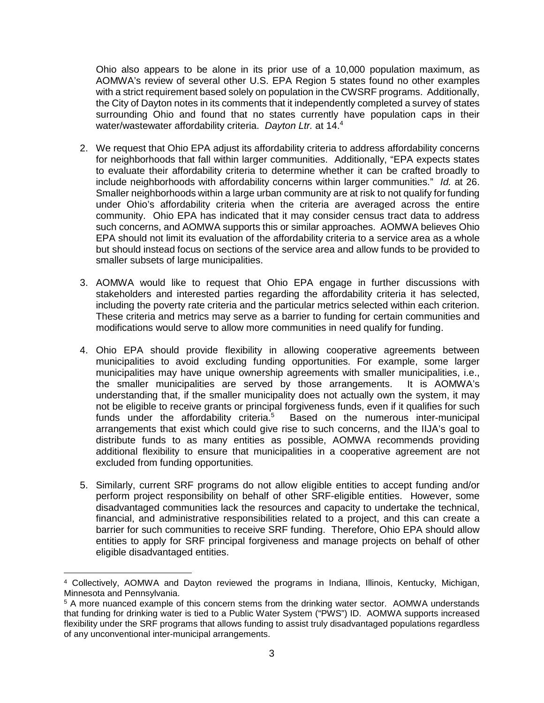Ohio also appears to be alone in its prior use of a 10,000 population maximum, as AOMWA's review of several other U.S. EPA Region 5 states found no other examples with a strict requirement based solely on population in the CWSRF programs. Additionally, the City of Dayton notes in its comments that it independently completed a survey of states surrounding Ohio and found that no states currently have population caps in their water/wastewater affordability criteria. *Dayton Ltr.* at 14.<sup>4</sup>

- 2. We request that Ohio EPA adjust its affordability criteria to address affordability concerns for neighborhoods that fall within larger communities. Additionally, "EPA expects states to evaluate their affordability criteria to determine whether it can be crafted broadly to include neighborhoods with affordability concerns within larger communities." *Id.* at 26. Smaller neighborhoods within a large urban community are at risk to not qualify for funding under Ohio's affordability criteria when the criteria are averaged across the entire community. Ohio EPA has indicated that it may consider census tract data to address such concerns, and AOMWA supports this or similar approaches. AOMWA believes Ohio EPA should not limit its evaluation of the affordability criteria to a service area as a whole but should instead focus on sections of the service area and allow funds to be provided to smaller subsets of large municipalities.
- 3. AOMWA would like to request that Ohio EPA engage in further discussions with stakeholders and interested parties regarding the affordability criteria it has selected, including the poverty rate criteria and the particular metrics selected within each criterion. These criteria and metrics may serve as a barrier to funding for certain communities and modifications would serve to allow more communities in need qualify for funding.
- 4. Ohio EPA should provide flexibility in allowing cooperative agreements between municipalities to avoid excluding funding opportunities. For example, some larger municipalities may have unique ownership agreements with smaller municipalities, i.e., the smaller municipalities are served by those arrangements. It is AOMWA's understanding that, if the smaller municipality does not actually own the system, it may not be eligible to receive grants or principal forgiveness funds, even if it qualifies for such funds under the affordability criteria.<sup>5</sup> Based on the numerous inter-municipal arrangements that exist which could give rise to such concerns, and the IIJA's goal to distribute funds to as many entities as possible, AOMWA recommends providing additional flexibility to ensure that municipalities in a cooperative agreement are not excluded from funding opportunities.
- 5. Similarly, current SRF programs do not allow eligible entities to accept funding and/or perform project responsibility on behalf of other SRF-eligible entities. However, some disadvantaged communities lack the resources and capacity to undertake the technical, financial, and administrative responsibilities related to a project, and this can create a barrier for such communities to receive SRF funding. Therefore, Ohio EPA should allow entities to apply for SRF principal forgiveness and manage projects on behalf of other eligible disadvantaged entities.

 $\overline{a}$ 4 Collectively, AOMWA and Dayton reviewed the programs in Indiana, Illinois, Kentucky, Michigan, Minnesota and Pennsylvania.

<sup>&</sup>lt;sup>5</sup> A more nuanced example of this concern stems from the drinking water sector. AOMWA understands that funding for drinking water is tied to a Public Water System ("PWS") ID. AOMWA supports increased flexibility under the SRF programs that allows funding to assist truly disadvantaged populations regardless of any unconventional inter-municipal arrangements.